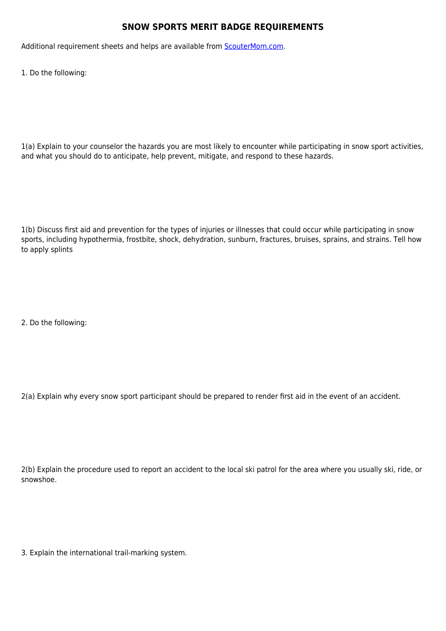## **SNOW SPORTS MERIT BADGE REQUIREMENTS**

Additional requirement sheets and helps are available from **[ScouterMom.com](http://scoutermom.com).** 

1. Do the following:

1(a) Explain to your counselor the hazards you are most likely to encounter while participating in snow sport activities, and what you should do to anticipate, help prevent, mitigate, and respond to these hazards.

1(b) Discuss first aid and prevention for the types of injuries or illnesses that could occur while participating in snow sports, including hypothermia, frostbite, shock, dehydration, sunburn, fractures, bruises, sprains, and strains. Tell how to apply splints

2. Do the following:

2(a) Explain why every snow sport participant should be prepared to render first aid in the event of an accident.

2(b) Explain the procedure used to report an accident to the local ski patrol for the area where you usually ski, ride, or snowshoe.

3. Explain the international trail-marking system.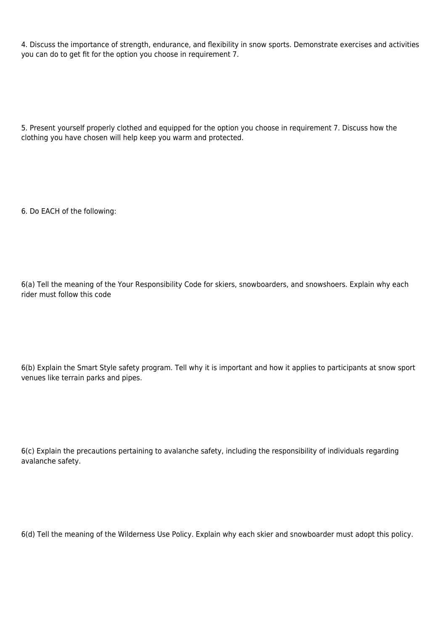4. Discuss the importance of strength, endurance, and flexibility in snow sports. Demonstrate exercises and activities you can do to get fit for the option you choose in requirement 7.

5. Present yourself properly clothed and equipped for the option you choose in requirement 7. Discuss how the clothing you have chosen will help keep you warm and protected.

6. Do EACH of the following:

6(a) Tell the meaning of the Your Responsibility Code for skiers, snowboarders, and snowshoers. Explain why each rider must follow this code

6(b) Explain the Smart Style safety program. Tell why it is important and how it applies to participants at snow sport venues like terrain parks and pipes.

6(c) Explain the precautions pertaining to avalanche safety, including the responsibility of individuals regarding avalanche safety.

6(d) Tell the meaning of the Wilderness Use Policy. Explain why each skier and snowboarder must adopt this policy.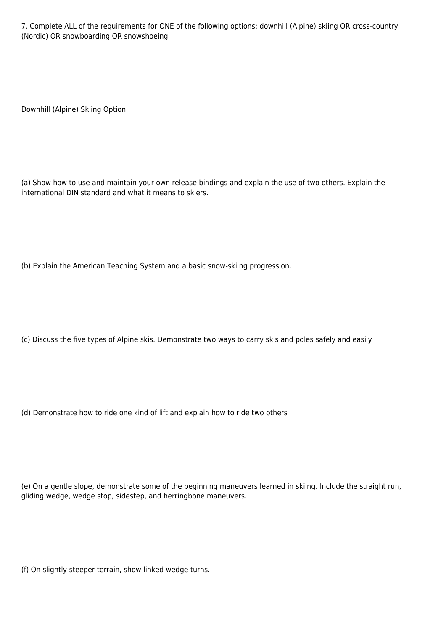7. Complete ALL of the requirements for ONE of the following options: downhill (Alpine) skiing OR cross-country (Nordic) OR snowboarding OR snowshoeing

Downhill (Alpine) Skiing Option

(a) Show how to use and maintain your own release bindings and explain the use of two others. Explain the international DIN standard and what it means to skiers.

(b) Explain the American Teaching System and a basic snow-skiing progression.

(c) Discuss the five types of Alpine skis. Demonstrate two ways to carry skis and poles safely and easily

(d) Demonstrate how to ride one kind of lift and explain how to ride two others

(e) On a gentle slope, demonstrate some of the beginning maneuvers learned in skiing. Include the straight run, gliding wedge, wedge stop, sidestep, and herringbone maneuvers.

(f) On slightly steeper terrain, show linked wedge turns.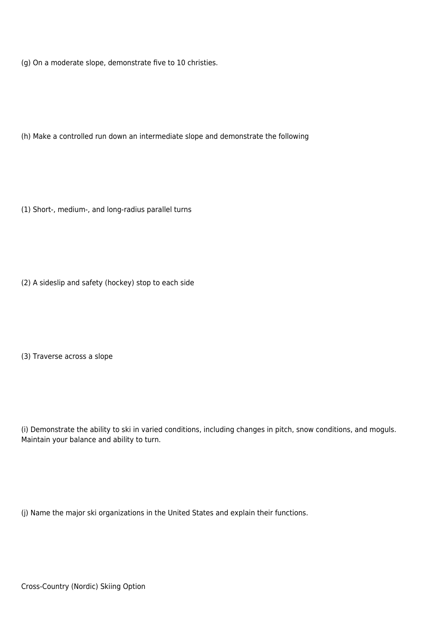(g) On a moderate slope, demonstrate five to 10 christies.

(h) Make a controlled run down an intermediate slope and demonstrate the following

(1) Short-, medium-, and long-radius parallel turns

(2) A sideslip and safety (hockey) stop to each side

(3) Traverse across a slope

(i) Demonstrate the ability to ski in varied conditions, including changes in pitch, snow conditions, and moguls. Maintain your balance and ability to turn.

(j) Name the major ski organizations in the United States and explain their functions.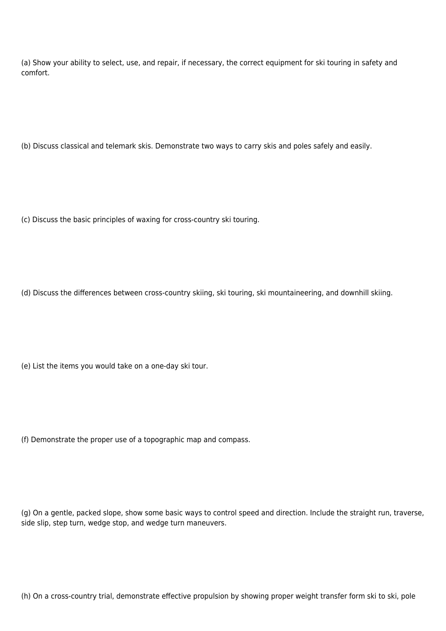(a) Show your ability to select, use, and repair, if necessary, the correct equipment for ski touring in safety and comfort.

(b) Discuss classical and telemark skis. Demonstrate two ways to carry skis and poles safely and easily.

(c) Discuss the basic principles of waxing for cross-country ski touring.

(d) Discuss the differences between cross-country skiing, ski touring, ski mountaineering, and downhill skiing.

(e) List the items you would take on a one-day ski tour.

(f) Demonstrate the proper use of a topographic map and compass.

(g) On a gentle, packed slope, show some basic ways to control speed and direction. Include the straight run, traverse, side slip, step turn, wedge stop, and wedge turn maneuvers.

(h) On a cross-country trial, demonstrate effective propulsion by showing proper weight transfer form ski to ski, pole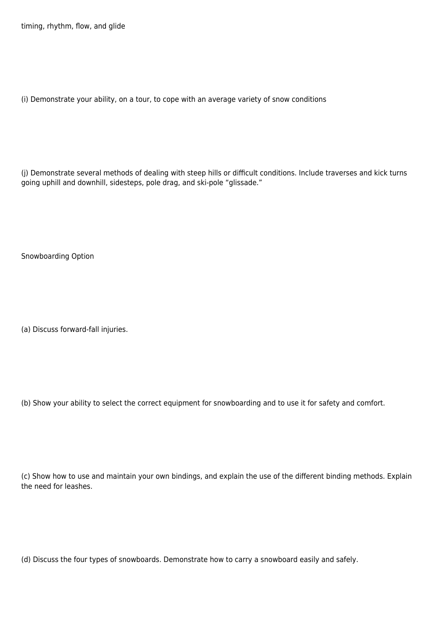timing, rhythm, flow, and glide

(i) Demonstrate your ability, on a tour, to cope with an average variety of snow conditions

(j) Demonstrate several methods of dealing with steep hills or difficult conditions. Include traverses and kick turns going uphill and downhill, sidesteps, pole drag, and ski-pole "glissade."

Snowboarding Option

(a) Discuss forward-fall injuries.

(b) Show your ability to select the correct equipment for snowboarding and to use it for safety and comfort.

(c) Show how to use and maintain your own bindings, and explain the use of the different binding methods. Explain the need for leashes.

(d) Discuss the four types of snowboards. Demonstrate how to carry a snowboard easily and safely.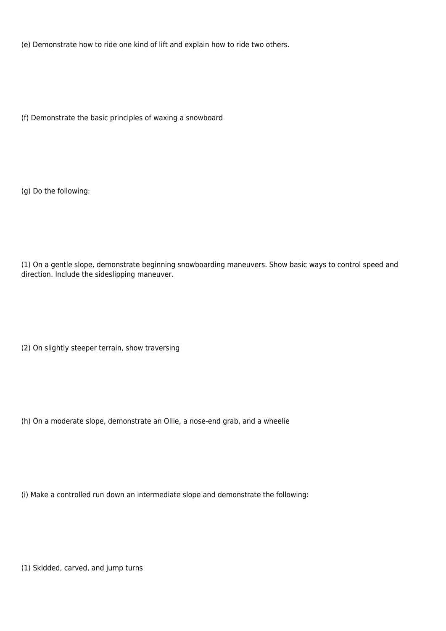(e) Demonstrate how to ride one kind of lift and explain how to ride two others.

(f) Demonstrate the basic principles of waxing a snowboard

(g) Do the following:

(1) On a gentle slope, demonstrate beginning snowboarding maneuvers. Show basic ways to control speed and direction. Include the sideslipping maneuver.

(2) On slightly steeper terrain, show traversing

(h) On a moderate slope, demonstrate an Ollie, a nose-end grab, and a wheelie

(i) Make a controlled run down an intermediate slope and demonstrate the following:

(1) Skidded, carved, and jump turns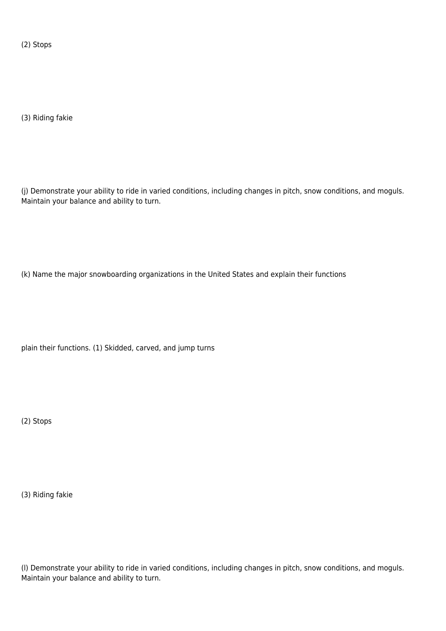(2) Stops

(3) Riding fakie

(j) Demonstrate your ability to ride in varied conditions, including changes in pitch, snow conditions, and moguls. Maintain your balance and ability to turn.

(k) Name the major snowboarding organizations in the United States and explain their functions

plain their functions. (1) Skidded, carved, and jump turns

(2) Stops

(3) Riding fakie

(l) Demonstrate your ability to ride in varied conditions, including changes in pitch, snow conditions, and moguls. Maintain your balance and ability to turn.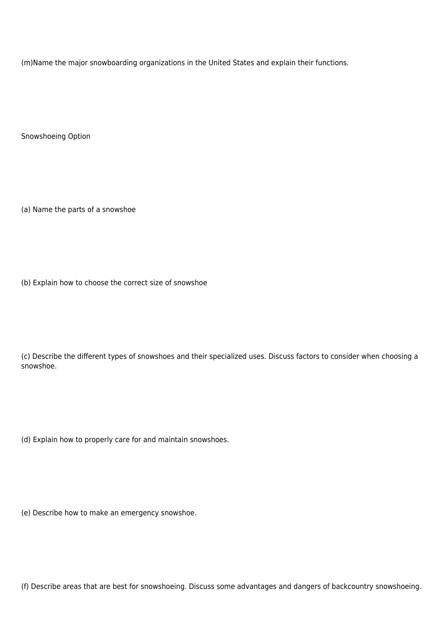(m)Name the major snowboarding organizations in the United States and explain their functions.

Snowshoeing Option

(a) Name the parts of a snowshoe

(b) Explain how to choose the correct size of snowshoe

(c) Describe the different types of snowshoes and their specialized uses. Discuss factors to consider when choosing a snowshoe.

(d) Explain how to properly care for and maintain snowshoes.

(e) Describe how to make an emergency snowshoe.

(f) Describe areas that are best for snowshoeing. Discuss some advantages and dangers of backcountry snowshoeing.